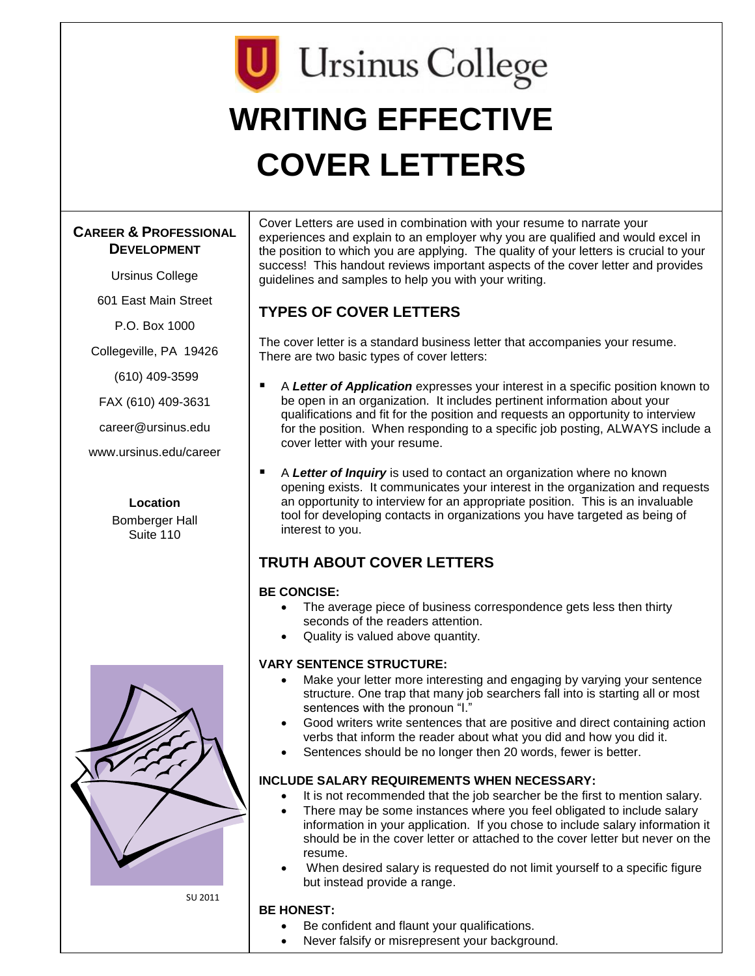# **U** Ursinus College **WRITING EFFECTIVE COVER LETTERS**

## **CAREER & PROFESSIONAL DEVELOPMENT**

Ursinus College

601 East Main Street

P.O. Box 1000

Collegeville, PA 19426

(610) 409-3599

FAX (610) 409-3631

career@ursinus.edu

www.ursinus.edu/career



**Location**



SU 2011

Cover Letters are used in combination with your resume to narrate your experiences and explain to an employer why you are qualified and would excel in the position to which you are applying. The quality of your letters is crucial to your success! This handout reviews important aspects of the cover letter and provides guidelines and samples to help you with your writing.

# **TYPES OF COVER LETTERS**

The cover letter is a standard business letter that accompanies your resume. There are two basic types of cover letters:

- A *Letter of Application* expresses your interest in a specific position known to be open in an organization. It includes pertinent information about your qualifications and fit for the position and requests an opportunity to interview for the position. When responding to a specific job posting, ALWAYS include a cover letter with your resume.
- A *Letter of Inquiry* is used to contact an organization where no known opening exists. It communicates your interest in the organization and requests an opportunity to interview for an appropriate position. This is an invaluable tool for developing contacts in organizations you have targeted as being of interest to you.

## **TRUTH ABOUT COVER LETTERS**

#### **BE CONCISE:**

- The average piece of business correspondence gets less then thirty seconds of the readers attention.
- Quality is valued above quantity.

#### **VARY SENTENCE STRUCTURE:**

- Make your letter more interesting and engaging by varying your sentence structure. One trap that many job searchers fall into is starting all or most sentences with the pronoun "I."
- Good writers write sentences that are positive and direct containing action verbs that inform the reader about what you did and how you did it.
- Sentences should be no longer then 20 words, fewer is better.

#### **INCLUDE SALARY REQUIREMENTS WHEN NECESSARY:**

- It is not recommended that the job searcher be the first to mention salary.
- There may be some instances where you feel obligated to include salary information in your application. If you chose to include salary information it should be in the cover letter or attached to the cover letter but never on the resume.
- When desired salary is requested do not limit yourself to a specific figure but instead provide a range.

#### **BE HONEST:**

- Be confident and flaunt your qualifications.
- Never falsify or misrepresent your background.